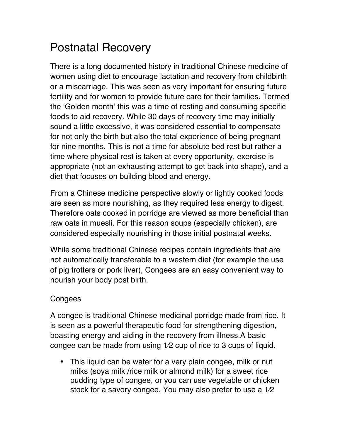## Postnatal Recovery

There is a long documented history in traditional Chinese medicine of women using diet to encourage lactation and recovery from childbirth or a miscarriage. This was seen as very important for ensuring future fertility and for women to provide future care for their families. Termed the 'Golden month' this was a time of resting and consuming specific foods to aid recovery. While 30 days of recovery time may initially sound a little excessive, it was considered essential to compensate for not only the birth but also the total experience of being pregnant for nine months. This is not a time for absolute bed rest but rather a time where physical rest is taken at every opportunity, exercise is appropriate (not an exhausting attempt to get back into shape), and a diet that focuses on building blood and energy.

From a Chinese medicine perspective slowly or lightly cooked foods are seen as more nourishing, as they required less energy to digest. Therefore oats cooked in porridge are viewed as more beneficial than raw oats in muesli. For this reason soups (especially chicken), are considered especially nourishing in those initial postnatal weeks.

While some traditional Chinese recipes contain ingredients that are not automatically transferable to a western diet (for example the use of pig trotters or pork liver), Congees are an easy convenient way to nourish your body post birth.

## **Congees**

A congee is traditional Chinese medicinal porridge made from rice. It is seen as a powerful therapeutic food for strengthening digestion, boasting energy and aiding in the recovery from illness.A basic congee can be made from using 1⁄2 cup of rice to 3 cups of liquid.

• This liquid can be water for a very plain congee, milk or nut milks (soya milk /rice milk or almond milk) for a sweet rice pudding type of congee, or you can use vegetable or chicken stock for a savory congee. You may also prefer to use a 1⁄2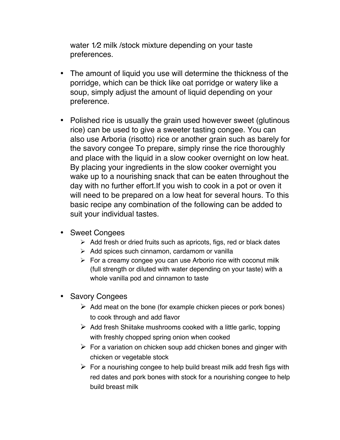water 1⁄2 milk /stock mixture depending on your taste preferences.

- The amount of liquid you use will determine the thickness of the porridge, which can be thick like oat porridge or watery like a soup, simply adjust the amount of liquid depending on your preference.
- Polished rice is usually the grain used however sweet (glutinous rice) can be used to give a sweeter tasting congee. You can also use Arboria (risotto) rice or another grain such as barely for the savory congee To prepare, simply rinse the rice thoroughly and place with the liquid in a slow cooker overnight on low heat. By placing your ingredients in the slow cooker overnight you wake up to a nourishing snack that can be eaten throughout the day with no further effort.If you wish to cook in a pot or oven it will need to be prepared on a low heat for several hours. To this basic recipe any combination of the following can be added to suit your individual tastes.
- Sweet Congees
	- $\triangleright$  Add fresh or dried fruits such as apricots, figs, red or black dates
	- $\triangleright$  Add spices such cinnamon, cardamom or vanilla
	- $\triangleright$  For a creamy congee you can use Arborio rice with coconut milk (full strength or diluted with water depending on your taste) with a whole vanilla pod and cinnamon to taste
- Savory Congees
	- $\triangleright$  Add meat on the bone (for example chicken pieces or pork bones) to cook through and add flavor
	- $\triangleright$  Add fresh Shiitake mushrooms cooked with a little garlic, topping with freshly chopped spring onion when cooked
	- $\triangleright$  For a variation on chicken soup add chicken bones and ginger with chicken or vegetable stock
	- $\triangleright$  For a nourishing congee to help build breast milk add fresh figs with red dates and pork bones with stock for a nourishing congee to help build breast milk